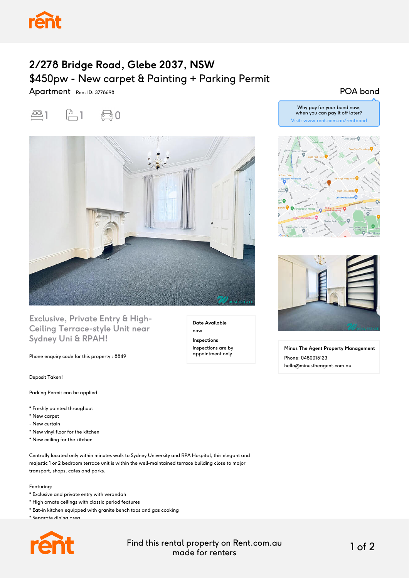

## **2/278 Bridge Road, Glebe 2037, NSW** \$450pw - New carpet & Painting + Parking Permit

Apartment Rent ID: 3778698





### **Exclusive, Private Entry & High-Ceiling Terrace-style Unit near Sydney Uni & RPAH!**

Phone enquiry code for this property : 8849

Deposit Taken!

Parking Permit can be applied.

- \* Freshly painted throughout
- \* New carpet
- New curtain
- \* New vinyl floor for the kitchen
- \* New ceiling for the kitchen

Centrally located only within minutes walk to Sydney University and RPA Hospital, this elegant and majestic 1 or 2 bedroom terrace unit is within the well-maintained terrace building close to major transport, shops, cafes and parks.

#### Featuring:

- \* Exclusive and private entry with verandah
- \* High ornate ceilings with classic period features
- \* Eat-in kitchen equipped with granite bench tops and gas cooking
- \* Separate dining area



**Date Available** now **Inspections** Inspections are by appointment only

#### POA bond

Why pay for your bond now, when you can pay it off later? Visit: www.rent.com.au/rentbond





**Minus The Agent Property Management** Phone: 0480015123 hello@minustheagent.com.au

Find this rental property on Rent.com.au made for renters 1 of 2